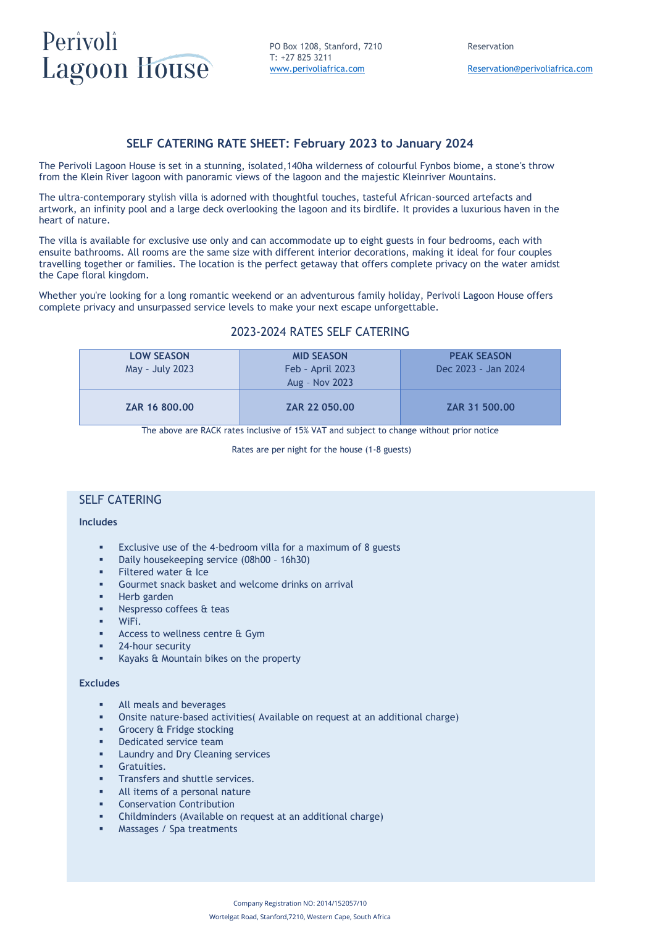# Perivoli **Lagoon House**

PO Box 1208, Stanford, 7210 Reservation T: +27 825 3211 [www.perivoliafrica.com](http://www.perivoliafrica.com/) [Reservation@perivoliafrica.com](mailto:Reservation@perivoliafrica.com)

# **SELF CATERING RATE SHEET: February 2023 to January 2024**

The Perivoli Lagoon House is set in a stunning, isolated,140ha wilderness of colourful Fynbos biome, a stone's throw from the Klein River lagoon with panoramic views of the lagoon and the majestic Kleinriver Mountains.

The ultra-contemporary stylish villa is adorned with thoughtful touches, tasteful African-sourced artefacts and artwork, an infinity pool and a large deck overlooking the lagoon and its birdlife. It provides a luxurious haven in the heart of nature.

The villa is available for exclusive use only and can accommodate up to eight guests in four bedrooms, each with ensuite bathrooms. All rooms are the same size with different interior decorations, making it ideal for four couples travelling together or families. The location is the perfect getaway that offers complete privacy on the water amidst the Cape floral kingdom.

Whether you're looking for a long romantic weekend or an adventurous family holiday, Perivoli Lagoon House offers complete privacy and unsurpassed service levels to make your next escape unforgettable.

# 2023-2024 RATES SELF CATERING

| <b>LOW SEASON</b><br>May - July 2023 | <b>MID SEASON</b><br>Feb - April 2023<br>Aug - Nov 2023 | <b>PEAK SEASON</b><br>Dec 2023 - Jan 2024 |
|--------------------------------------|---------------------------------------------------------|-------------------------------------------|
| ZAR 16 800.00                        | ZAR 22 050.00                                           | ZAR 31 500.00                             |

The above are RACK rates inclusive of 15% VAT and subject to change without prior notice

Rates are per night for the house (1-8 guests)

## SELF CATERING

## **Includes**

- Exclusive use of the 4-bedroom villa for a maximum of 8 guests
- Daily housekeeping service (08h00 16h30)
- **Filtered water & Ice**
- Gourmet snack basket and welcome drinks on arrival
- Herb garden
- Nespresso coffees & teas
- WiFi.
- Access to wellness centre & Gym
- 24-hour security
- Kayaks & Mountain bikes on the property

### **Excludes**

- All meals and beverages
- Onsite nature-based activities( Available on request at an additional charge)
- Grocery & Fridge stocking
- Dedicated service team
- **■** Laundry and Dry Cleaning services
- Gratuities.
- **■** Transfers and shuttle services.
- All items of a personal nature
- Conservation Contribution
- Childminders (Available on request at an additional charge)
- Massages / Spa treatments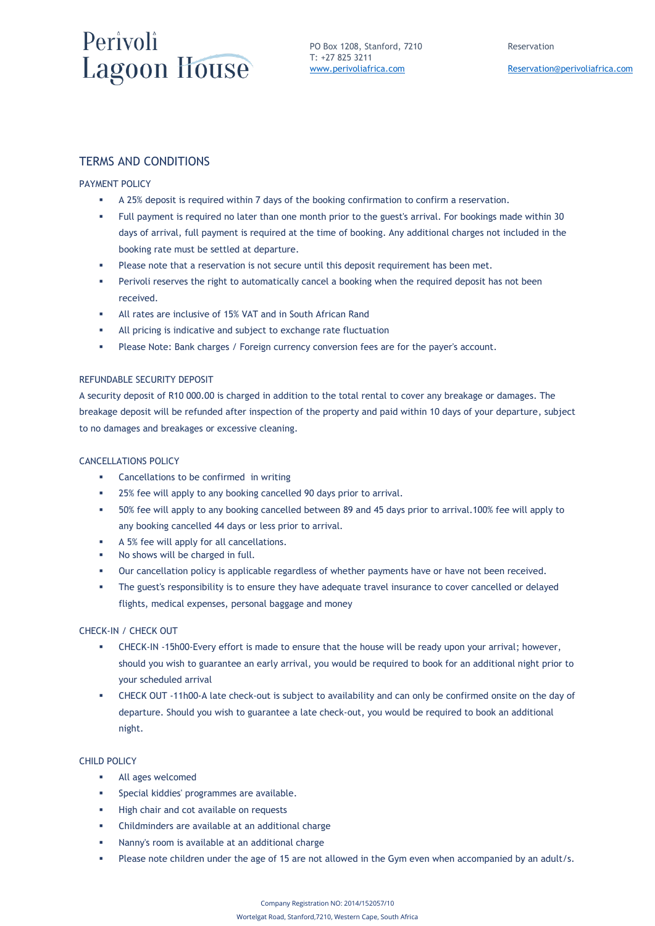# Perivoli **Lagoon House**

PO Box 1208, Stanford, 7210 Reservation T: +27 825 3211

# TERMS AND CONDITIONS

### PAYMENT POLICY

- A 25% deposit is required within 7 days of the booking confirmation to confirm a reservation.
- Full payment is required no later than one month prior to the guest's arrival. For bookings made within 30 days of arrival, full payment is required at the time of booking. Any additional charges not included in the booking rate must be settled at departure.
- Please note that a reservation is not secure until this deposit requirement has been met.
- Perivoli reserves the right to automatically cancel a booking when the required deposit has not been received.
- All rates are inclusive of 15% VAT and in South African Rand
- All pricing is indicative and subject to exchange rate fluctuation
- Please Note: Bank charges / Foreign currency conversion fees are for the payer's account.

#### REFUNDABLE SECURITY DEPOSIT

A security deposit of R10 000.00 is charged in addition to the total rental to cover any breakage or damages. The breakage deposit will be refunded after inspection of the property and paid within 10 days of your departure, subject to no damages and breakages or excessive cleaning.

### CANCELLATIONS POLICY

- Cancellations to be confirmed in writing
- 25% fee will apply to any booking cancelled 90 days prior to arrival.
- 50% fee will apply to any booking cancelled between 89 and 45 days prior to arrival.100% fee will apply to any booking cancelled 44 days or less prior to arrival.
- A 5% fee will apply for all cancellations.
- No shows will be charged in full.
- Our cancellation policy is applicable regardless of whether payments have or have not been received.
- The guest's responsibility is to ensure they have adequate travel insurance to cover cancelled or delayed flights, medical expenses, personal baggage and money

## CHECK-IN / CHECK OUT

- **EXECK-IN-15h00-Every effort is made to ensure that the house will be ready upon your arrival; however,** should you wish to guarantee an early arrival, you would be required to book for an additional night prior to your scheduled arrival
- CHECK OUT -11h00-A late check-out is subject to availability and can only be confirmed onsite on the day of departure. Should you wish to guarantee a late check-out, you would be required to book an additional night.

#### CHILD POLICY

- All ages welcomed
- Special kiddies' programmes are available.
- High chair and cot available on requests
- Childminders are available at an additional charge
- Nanny's room is available at an additional charge
- Please note children under the age of 15 are not allowed in the Gym even when accompanied by an adult/s.